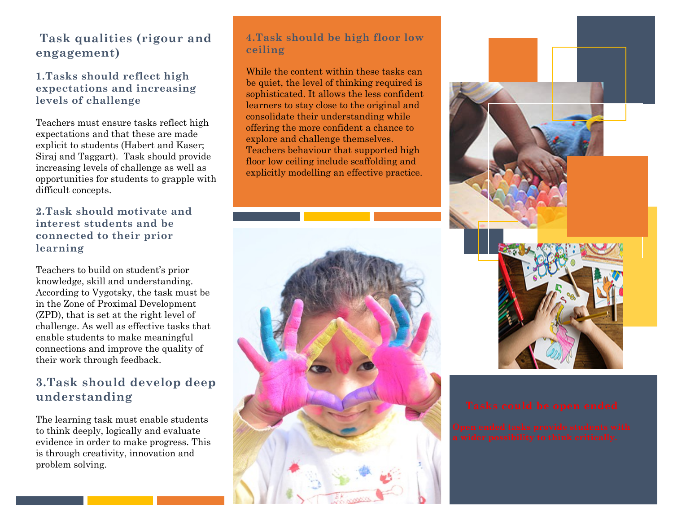## **Task qualities (rigour and engagement)**

### **1.Tasks should reflect high expectations and increasing levels of challenge**

Teachers must ensure tasks reflect high expectations and that these are made explicit to students (Habert and Kaser; Siraj and Taggart). Task should provide increasing levels of challenge as well as opportunities for students to grapple with difficult concepts.

#### **2.Task should motivate and interest students and be connected to their prior learning**

Teachers to build on student's prior knowledge, skill and understanding. According to Vygotsky, the task must be in the Zone of Proximal Development (ZPD), that is set at the right level of challenge. As well as effective tasks that enable students to make meaningful connections and improve the quality of their work through feedback.

## **3.Task should develop deep understanding**

The learning task must enable students to think deeply, logically and evaluate evidence in order to make progress. This is through creativity, innovation and problem solving.

### **4.Task should be high floor low ceiling**

While the content within these tasks can be quiet, the level of thinking required is sophisticated. It allows the less confident learners to stay close to the original and consolidate their understanding while offering the more confident a chance to explore and challenge themselves. Teachers behaviour that supported high floor low ceiling include scaffolding and explicitly modelling an effective practice.